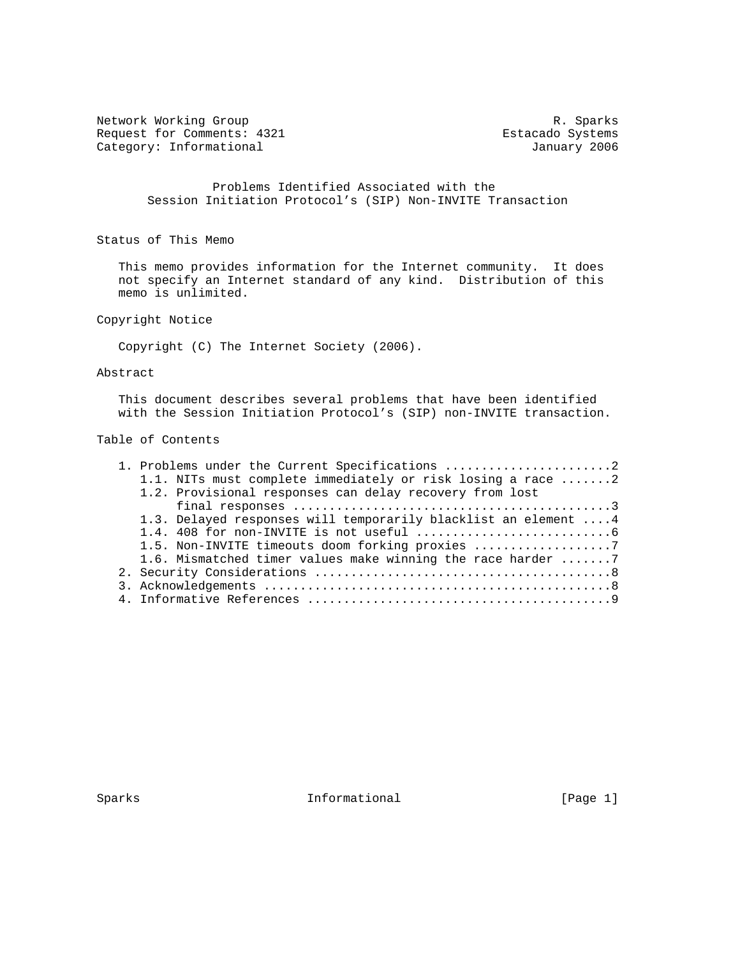Network Working Group and the set of the set of the set of the set of the set of the set of the set of the set o Request for Comments: 4321 Estacado Systems<br>
Category: Informational Base of the Category: Informational Base of the Category: Informational Base of the C Category: Informational

 Problems Identified Associated with the Session Initiation Protocol's (SIP) Non-INVITE Transaction

Status of This Memo

 This memo provides information for the Internet community. It does not specify an Internet standard of any kind. Distribution of this memo is unlimited.

Copyright Notice

Copyright (C) The Internet Society (2006).

## Abstract

 This document describes several problems that have been identified with the Session Initiation Protocol's (SIP) non-INVITE transaction.

# Table of Contents

|  | 1. Problems under the Current Specifications 2                 |  |
|--|----------------------------------------------------------------|--|
|  | 1.1. NITs must complete immediately or risk losing a race 2    |  |
|  | 1.2. Provisional responses can delay recovery from lost        |  |
|  |                                                                |  |
|  | 1.3. Delayed responses will temporarily blacklist an element 4 |  |
|  |                                                                |  |
|  | 1.5. Non-INVITE timeouts doom forking proxies                  |  |
|  | 1.6. Mismatched timer values make winning the race harder 7    |  |
|  |                                                                |  |
|  |                                                                |  |
|  |                                                                |  |

Sparks **Informational Informational** [Page 1]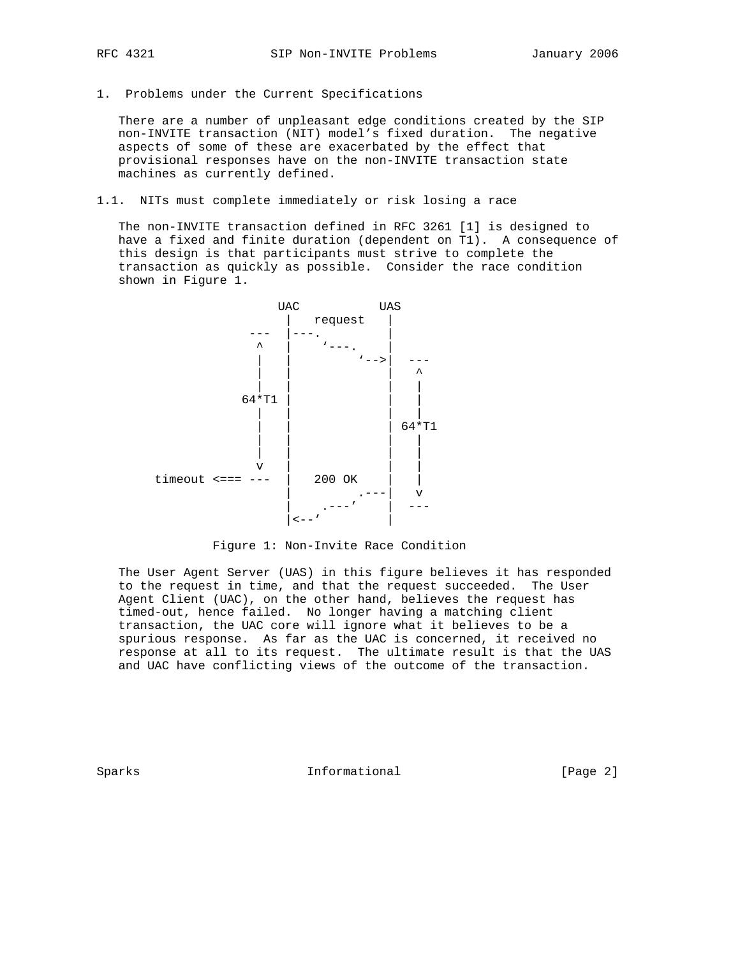- 
- 1. Problems under the Current Specifications

 There are a number of unpleasant edge conditions created by the SIP non-INVITE transaction (NIT) model's fixed duration. The negative aspects of some of these are exacerbated by the effect that provisional responses have on the non-INVITE transaction state machines as currently defined.

1.1. NITs must complete immediately or risk losing a race

 The non-INVITE transaction defined in RFC 3261 [1] is designed to have a fixed and finite duration (dependent on T1). A consequence of this design is that participants must strive to complete the transaction as quickly as possible. Consider the race condition shown in Figure 1.



Figure 1: Non-Invite Race Condition

 The User Agent Server (UAS) in this figure believes it has responded to the request in time, and that the request succeeded. The User Agent Client (UAC), on the other hand, believes the request has timed-out, hence failed. No longer having a matching client transaction, the UAC core will ignore what it believes to be a spurious response. As far as the UAC is concerned, it received no response at all to its request. The ultimate result is that the UAS and UAC have conflicting views of the outcome of the transaction.

Sparks **Informational Informational** [Page 2]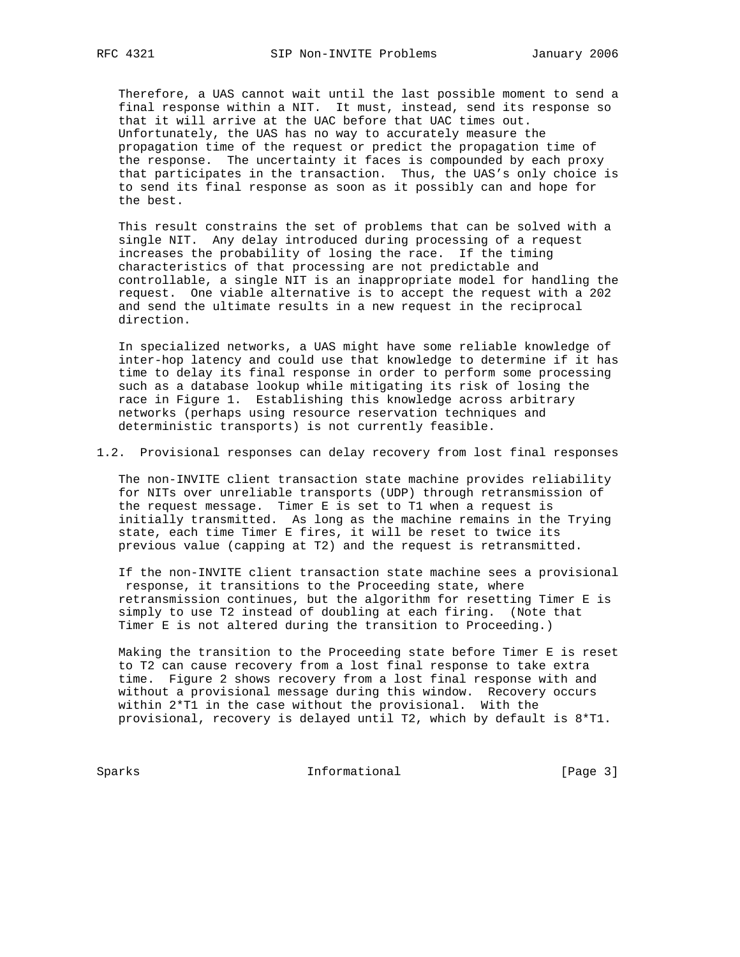Therefore, a UAS cannot wait until the last possible moment to send a final response within a NIT. It must, instead, send its response so that it will arrive at the UAC before that UAC times out. Unfortunately, the UAS has no way to accurately measure the propagation time of the request or predict the propagation time of the response. The uncertainty it faces is compounded by each proxy that participates in the transaction. Thus, the UAS's only choice is to send its final response as soon as it possibly can and hope for the best.

 This result constrains the set of problems that can be solved with a single NIT. Any delay introduced during processing of a request increases the probability of losing the race. If the timing characteristics of that processing are not predictable and controllable, a single NIT is an inappropriate model for handling the request. One viable alternative is to accept the request with a 202 and send the ultimate results in a new request in the reciprocal direction.

 In specialized networks, a UAS might have some reliable knowledge of inter-hop latency and could use that knowledge to determine if it has time to delay its final response in order to perform some processing such as a database lookup while mitigating its risk of losing the race in Figure 1. Establishing this knowledge across arbitrary networks (perhaps using resource reservation techniques and deterministic transports) is not currently feasible.

1.2. Provisional responses can delay recovery from lost final responses

 The non-INVITE client transaction state machine provides reliability for NITs over unreliable transports (UDP) through retransmission of the request message. Timer E is set to T1 when a request is initially transmitted. As long as the machine remains in the Trying state, each time Timer E fires, it will be reset to twice its previous value (capping at T2) and the request is retransmitted.

 If the non-INVITE client transaction state machine sees a provisional response, it transitions to the Proceeding state, where retransmission continues, but the algorithm for resetting Timer E is simply to use T2 instead of doubling at each firing. (Note that Timer E is not altered during the transition to Proceeding.)

 Making the transition to the Proceeding state before Timer E is reset to T2 can cause recovery from a lost final response to take extra time. Figure 2 shows recovery from a lost final response with and without a provisional message during this window. Recovery occurs within 2\*T1 in the case without the provisional. With the provisional, recovery is delayed until T2, which by default is 8\*T1.

Sparks **Informational** [Page 3]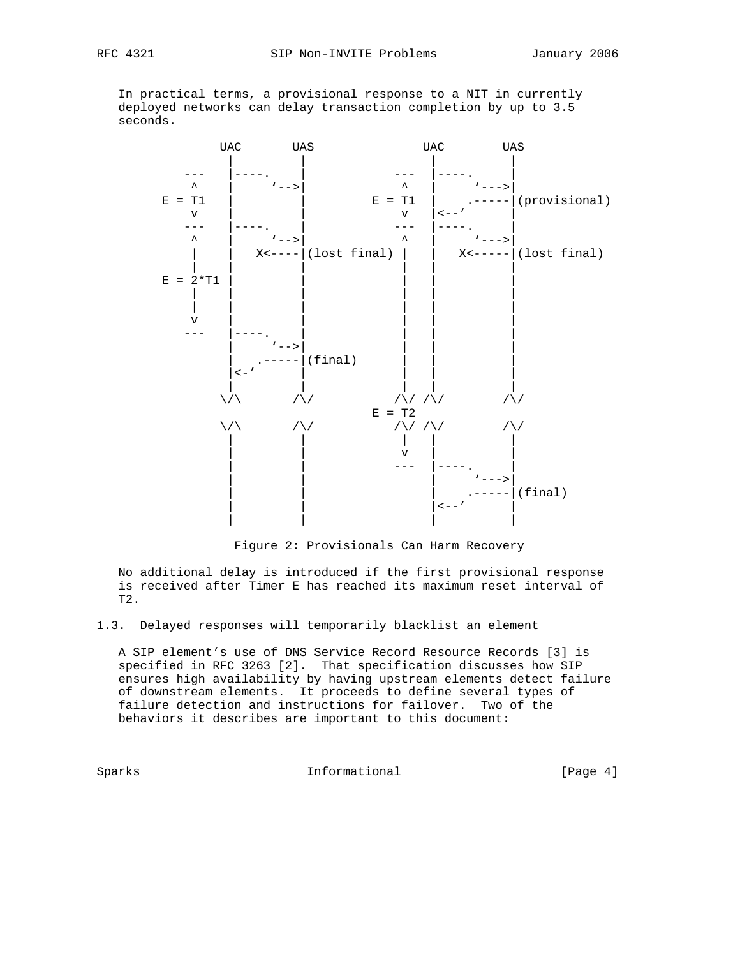In practical terms, a provisional response to a NIT in currently deployed networks can delay transaction completion by up to 3.5 seconds.



Figure 2: Provisionals Can Harm Recovery

 No additional delay is introduced if the first provisional response is received after Timer E has reached its maximum reset interval of T2.

1.3. Delayed responses will temporarily blacklist an element

 A SIP element's use of DNS Service Record Resource Records [3] is specified in RFC 3263 [2]. That specification discusses how SIP ensures high availability by having upstream elements detect failure of downstream elements. It proceeds to define several types of failure detection and instructions for failover. Two of the behaviors it describes are important to this document:

Sparks **Informational Informational** [Page 4]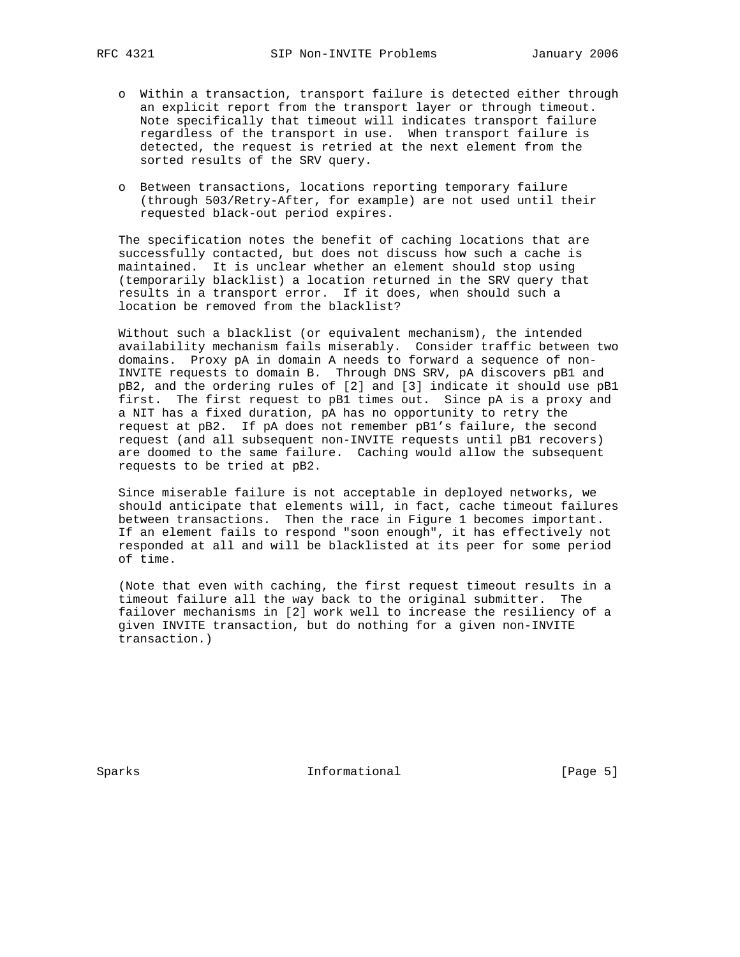- o Within a transaction, transport failure is detected either through an explicit report from the transport layer or through timeout. Note specifically that timeout will indicates transport failure regardless of the transport in use. When transport failure is detected, the request is retried at the next element from the sorted results of the SRV query.
- o Between transactions, locations reporting temporary failure (through 503/Retry-After, for example) are not used until their requested black-out period expires.

 The specification notes the benefit of caching locations that are successfully contacted, but does not discuss how such a cache is maintained. It is unclear whether an element should stop using (temporarily blacklist) a location returned in the SRV query that results in a transport error. If it does, when should such a location be removed from the blacklist?

 Without such a blacklist (or equivalent mechanism), the intended availability mechanism fails miserably. Consider traffic between two domains. Proxy pA in domain A needs to forward a sequence of non- INVITE requests to domain B. Through DNS SRV, pA discovers pB1 and pB2, and the ordering rules of [2] and [3] indicate it should use pB1 first. The first request to pB1 times out. Since pA is a proxy and a NIT has a fixed duration, pA has no opportunity to retry the request at pB2. If pA does not remember pB1's failure, the second request (and all subsequent non-INVITE requests until pB1 recovers) are doomed to the same failure. Caching would allow the subsequent requests to be tried at pB2.

 Since miserable failure is not acceptable in deployed networks, we should anticipate that elements will, in fact, cache timeout failures between transactions. Then the race in Figure 1 becomes important. If an element fails to respond "soon enough", it has effectively not responded at all and will be blacklisted at its peer for some period of time.

 (Note that even with caching, the first request timeout results in a timeout failure all the way back to the original submitter. The failover mechanisms in [2] work well to increase the resiliency of a given INVITE transaction, but do nothing for a given non-INVITE transaction.)

Sparks **Informational** [Page 5]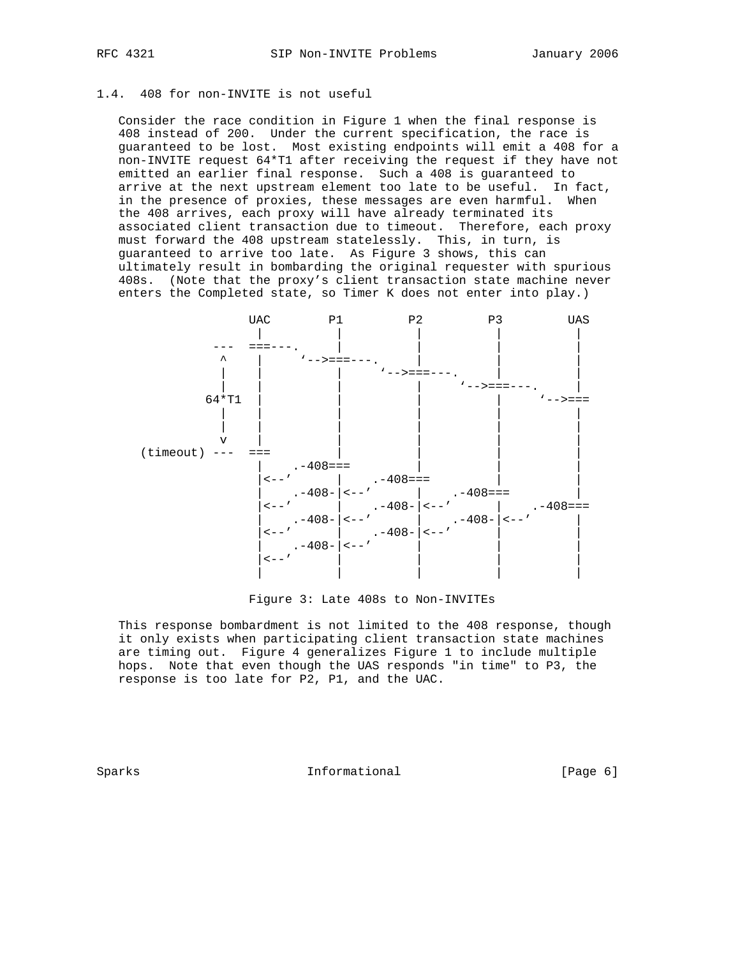## 1.4. 408 for non-INVITE is not useful

 Consider the race condition in Figure 1 when the final response is 408 instead of 200. Under the current specification, the race is guaranteed to be lost. Most existing endpoints will emit a 408 for a non-INVITE request 64\*T1 after receiving the request if they have not emitted an earlier final response. Such a 408 is guaranteed to arrive at the next upstream element too late to be useful. In fact, in the presence of proxies, these messages are even harmful. When the 408 arrives, each proxy will have already terminated its associated client transaction due to timeout. Therefore, each proxy must forward the 408 upstream statelessly. This, in turn, is guaranteed to arrive too late. As Figure 3 shows, this can ultimately result in bombarding the original requester with spurious 408s. (Note that the proxy's client transaction state machine never enters the Completed state, so Timer K does not enter into play.)



Figure 3: Late 408s to Non-INVITEs

 This response bombardment is not limited to the 408 response, though it only exists when participating client transaction state machines are timing out. Figure 4 generalizes Figure 1 to include multiple hops. Note that even though the UAS responds "in time" to P3, the response is too late for P2, P1, and the UAC.

Sparks **Informational Informational** [Page 6]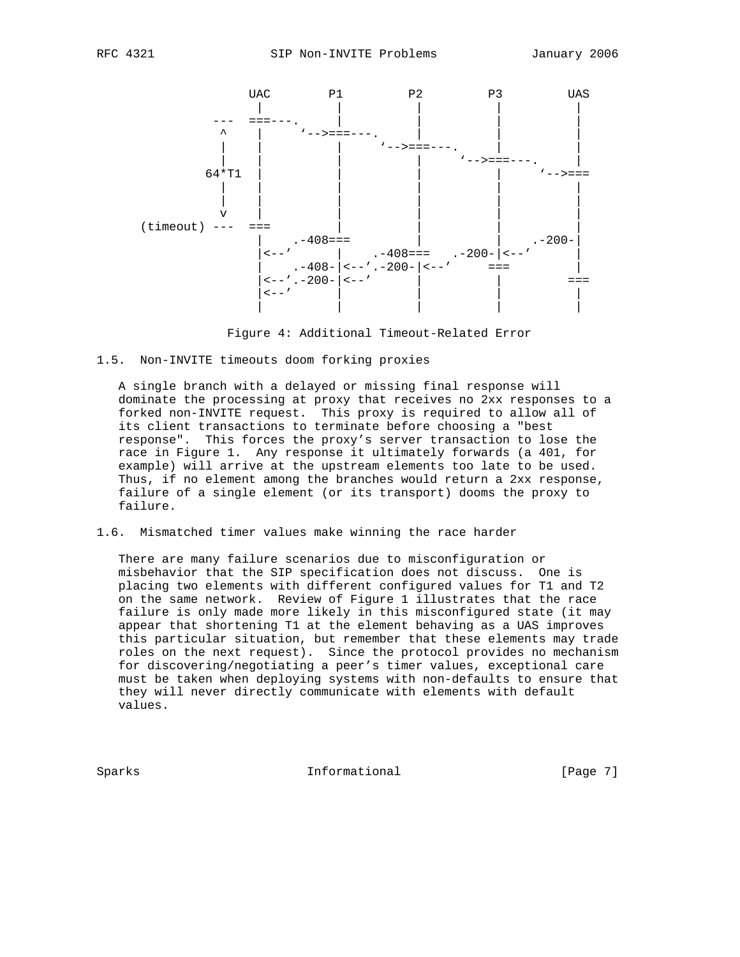

Figure 4: Additional Timeout-Related Error

#### 1.5. Non-INVITE timeouts doom forking proxies

 A single branch with a delayed or missing final response will dominate the processing at proxy that receives no 2xx responses to a forked non-INVITE request. This proxy is required to allow all of its client transactions to terminate before choosing a "best response". This forces the proxy's server transaction to lose the race in Figure 1. Any response it ultimately forwards (a 401, for example) will arrive at the upstream elements too late to be used. Thus, if no element among the branches would return a 2xx response, failure of a single element (or its transport) dooms the proxy to failure.

# 1.6. Mismatched timer values make winning the race harder

 There are many failure scenarios due to misconfiguration or misbehavior that the SIP specification does not discuss. One is placing two elements with different configured values for T1 and T2 on the same network. Review of Figure 1 illustrates that the race failure is only made more likely in this misconfigured state (it may appear that shortening T1 at the element behaving as a UAS improves this particular situation, but remember that these elements may trade roles on the next request). Since the protocol provides no mechanism for discovering/negotiating a peer's timer values, exceptional care must be taken when deploying systems with non-defaults to ensure that they will never directly communicate with elements with default values.

Sparks **Informational Informational** [Page 7]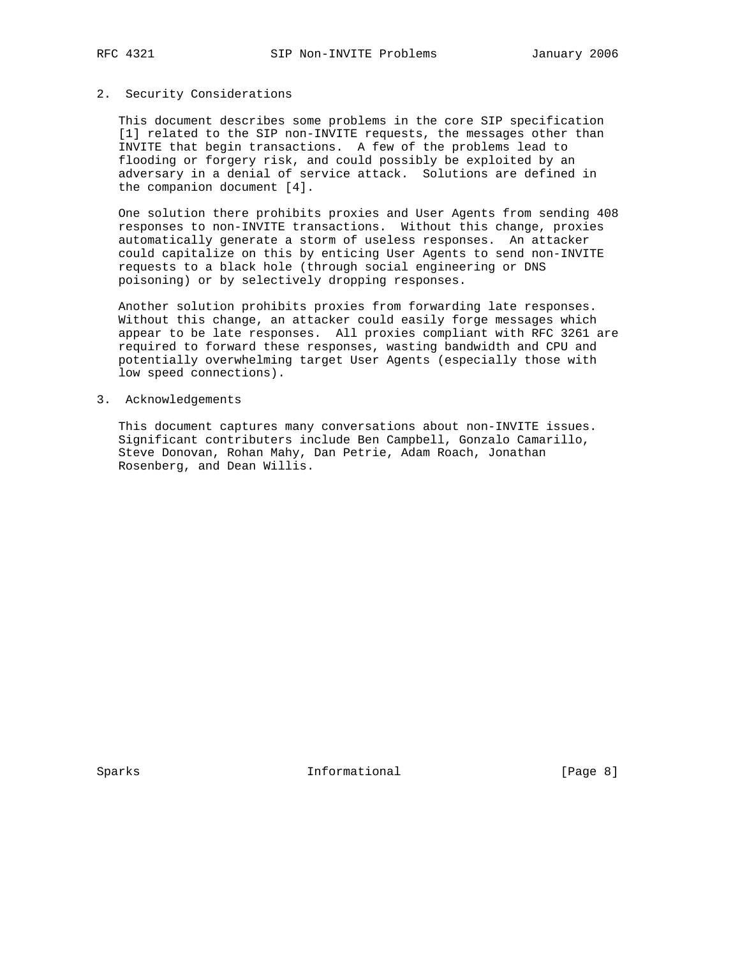## 2. Security Considerations

 This document describes some problems in the core SIP specification [1] related to the SIP non-INVITE requests, the messages other than INVITE that begin transactions. A few of the problems lead to flooding or forgery risk, and could possibly be exploited by an adversary in a denial of service attack. Solutions are defined in the companion document [4].

 One solution there prohibits proxies and User Agents from sending 408 responses to non-INVITE transactions. Without this change, proxies automatically generate a storm of useless responses. An attacker could capitalize on this by enticing User Agents to send non-INVITE requests to a black hole (through social engineering or DNS poisoning) or by selectively dropping responses.

 Another solution prohibits proxies from forwarding late responses. Without this change, an attacker could easily forge messages which appear to be late responses. All proxies compliant with RFC 3261 are required to forward these responses, wasting bandwidth and CPU and potentially overwhelming target User Agents (especially those with low speed connections).

#### 3. Acknowledgements

 This document captures many conversations about non-INVITE issues. Significant contributers include Ben Campbell, Gonzalo Camarillo, Steve Donovan, Rohan Mahy, Dan Petrie, Adam Roach, Jonathan Rosenberg, and Dean Willis.

Sparks **Informational** [Page 8]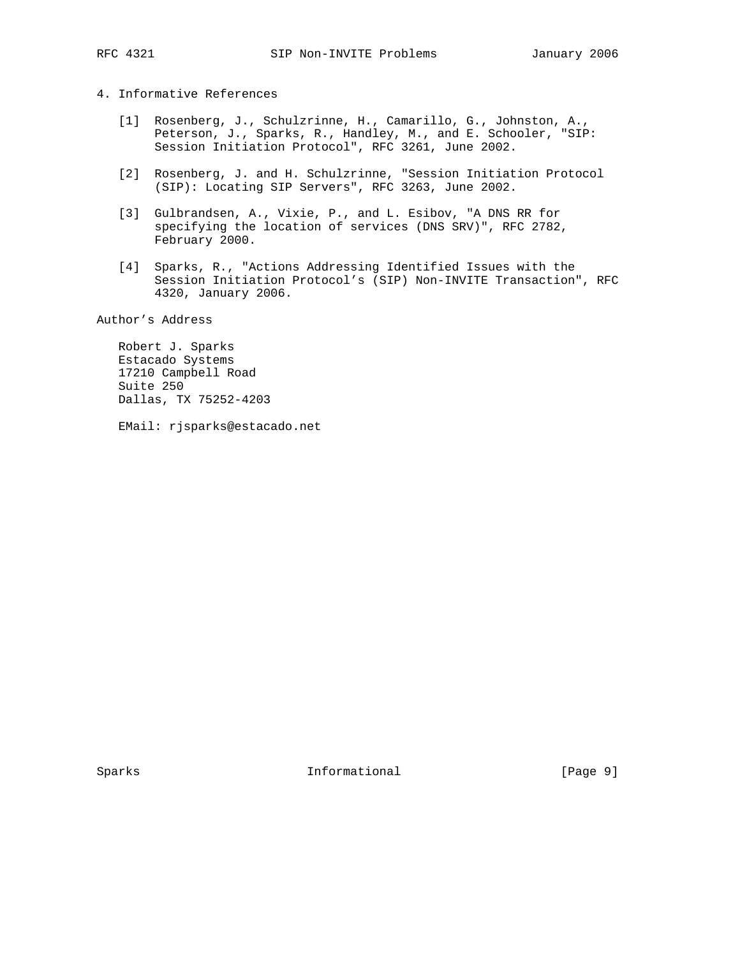# 4. Informative References

- [1] Rosenberg, J., Schulzrinne, H., Camarillo, G., Johnston, A., Peterson, J., Sparks, R., Handley, M., and E. Schooler, "SIP: Session Initiation Protocol", RFC 3261, June 2002.
- [2] Rosenberg, J. and H. Schulzrinne, "Session Initiation Protocol (SIP): Locating SIP Servers", RFC 3263, June 2002.
- [3] Gulbrandsen, A., Vixie, P., and L. Esibov, "A DNS RR for specifying the location of services (DNS SRV)", RFC 2782, February 2000.
- [4] Sparks, R., "Actions Addressing Identified Issues with the Session Initiation Protocol's (SIP) Non-INVITE Transaction", RFC 4320, January 2006.

Author's Address

 Robert J. Sparks Estacado Systems 17210 Campbell Road Suite 250 Dallas, TX 75252-4203

EMail: rjsparks@estacado.net

Sparks **Informational** [Page 9]